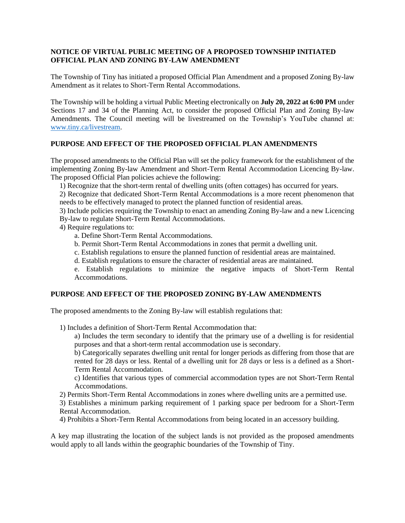## **NOTICE OF VIRTUAL PUBLIC MEETING OF A PROPOSED TOWNSHIP INITIATED OFFICIAL PLAN AND ZONING BY-LAW AMENDMENT**

The Township of Tiny has initiated a proposed Official Plan Amendment and a proposed Zoning By-law Amendment as it relates to Short-Term Rental Accommodations.

The Township will be holding a virtual Public Meeting electronically on **July 20, 2022 at 6:00 PM** under Sections 17 and 34 of the Planning Act, to consider the proposed Official Plan and Zoning By-law Amendments. The Council meeting will be livestreamed on the Township's YouTube channel at: [www.tiny.ca/livestream.](http://www.tiny.ca/livestream)

## **PURPOSE AND EFFECT OF THE PROPOSED OFFICIAL PLAN AMENDMENTS**

The proposed amendments to the Official Plan will set the policy framework for the establishment of the implementing Zoning By-law Amendment and Short-Term Rental Accommodation Licencing By-law. The proposed Official Plan policies achieve the following:

1) Recognize that the short-term rental of dwelling units (often cottages) has occurred for years.

2) Recognize that dedicated Short-Term Rental Accommodations is a more recent phenomenon that needs to be effectively managed to protect the planned function of residential areas.

3) Include policies requiring the Township to enact an amending Zoning By-law and a new Licencing By-law to regulate Short-Term Rental Accommodations.

- 4) Require regulations to:
	- a. Define Short-Term Rental Accommodations.
	- b. Permit Short-Term Rental Accommodations in zones that permit a dwelling unit.
	- c. Establish regulations to ensure the planned function of residential areas are maintained.

d. Establish regulations to ensure the character of residential areas are maintained.

e. Establish regulations to minimize the negative impacts of Short-Term Rental Accommodations.

## **PURPOSE AND EFFECT OF THE PROPOSED ZONING BY-LAW AMENDMENTS**

The proposed amendments to the Zoning By-law will establish regulations that:

1) Includes a definition of Short-Term Rental Accommodation that:

a) Includes the term secondary to identify that the primary use of a dwelling is for residential purposes and that a short-term rental accommodation use is secondary.

b) Categorically separates dwelling unit rental for longer periods as differing from those that are rented for 28 days or less. Rental of a dwelling unit for 28 days or less is a defined as a Short-Term Rental Accommodation.

c) Identifies that various types of commercial accommodation types are not Short-Term Rental Accommodations.

2) Permits Short-Term Rental Accommodations in zones where dwelling units are a permitted use.

3) Establishes a minimum parking requirement of 1 parking space per bedroom for a Short-Term Rental Accommodation.

4) Prohibits a Short-Term Rental Accommodations from being located in an accessory building.

A key map illustrating the location of the subject lands is not provided as the proposed amendments would apply to all lands within the geographic boundaries of the Township of Tiny.